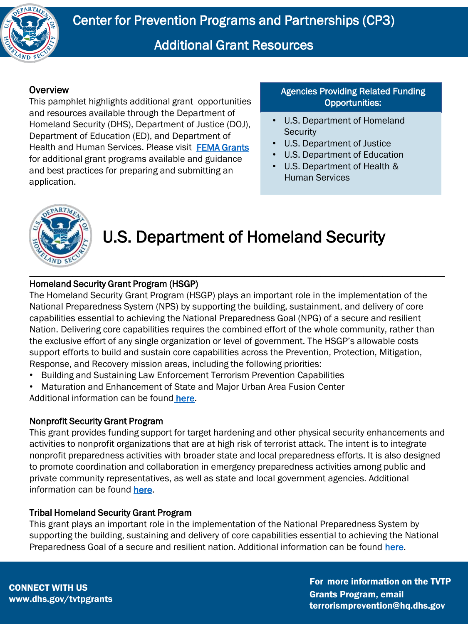

#### **Overview**

This pamphlet highlights additional grant opportunities and resources available through the Department of Homeland Security (DHS), Department of Justice (DOJ), Department of Education (ED), and Department of Health and Human Services. Please visit [FEMA Grants](https://www.fema.gov/grants) for additional grant programs available and guidance and best practices for preparing and submitting an application.

Agencies Providing Related Funding Opportunities:

- U.S. Department of Homeland **Security**
- U.S. Department of Justice
- U.S. Department of Education
- U.S. Department of Health & Human Services



## U.S. Department of Homeland Security

#### Homeland Security Grant Program (HSGP)

The Homeland Security Grant Program (HSGP) plays an important role in the implementation of the National Preparedness System (NPS) by supporting the building, sustainment, and delivery of core capabilities essential to achieving the National Preparedness Goal (NPG) of a secure and resilient Nation. Delivering core capabilities requires the combined effort of the whole community, rather than the exclusive effort of any single organization or level of government. The HSGP's allowable costs support efforts to build and sustain core capabilities across the Prevention, Protection, Mitigation, Response, and Recovery mission areas, including the following priorities:

- Building and Sustaining Law Enforcement Terrorism Prevention Capabilities
- Maturation and Enhancement of State and Major Urban Area Fusion Center

Additional information can be found [here](https://www.dhs.gov/homeland-security-grant-program-hsgp).

#### Nonprofit Security Grant Program

This grant provides funding support for target hardening and other physical security enhancements and activities to nonprofit organizations that are at high risk of terrorist attack. The intent is to integrate nonprofit preparedness activities with broader state and local preparedness efforts. It is also designed to promote coordination and collaboration in emergency preparedness activities among public and private community representatives, as well as state and local government agencies. Additional information can be found [here.](https://www.fema.gov/grants/preparedness/nonprofit-security)

#### Tribal Homeland Security Grant Program

This grant plays an important role in the implementation of the National Preparedness System by supporting the building, sustaining and delivery of core capabilities essential to achieving the National Preparedness Goal of a secure and resilient nation. Additional information can be found [here.](https://www.fema.gov/grants/preparedness/tribal-homeland-security)

For more information on the TVTP Grants Program, email terrorismprevention@hq.dhs.gov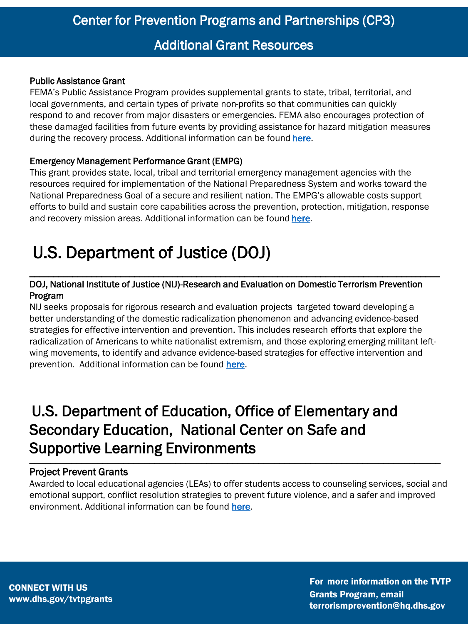#### Public Assistance Grant

FEMA's Public Assistance Program provides supplemental grants to state, tribal, territorial, and local governments, and certain types of private non-profits so that communities can quickly respond to and recover from major disasters or emergencies. FEMA also encourages protection of these damaged facilities from future events by providing assistance for hazard mitigation measures during the recovery process. Additional information can be found [here.](https://www.fema.gov/assistance/public/program-overview)

#### Emergency Management Performance Grant (EMPG)

This grant provides state, local, tribal and territorial emergency management agencies with the resources required for implementation of the National Preparedness System and works toward the National Preparedness Goal of a secure and resilient nation. The EMPG's allowable costs support efforts to build and sustain core capabilities across the prevention, protection, mitigation, response and recovery mission areas. Additional information can be found [here.](https://www.fema.gov/grants/preparedness/emergency-management-performance)

# U.S. Department of Justice (DOJ)

#### DOJ, National Institute of Justice (NIJ)-Research and Evaluation on Domestic Terrorism Prevention Program

\_\_\_\_\_\_\_\_\_\_\_\_\_\_\_\_\_\_\_\_\_\_\_\_\_\_\_\_\_\_\_\_\_\_\_\_\_\_\_\_\_\_\_\_\_\_\_\_\_\_\_\_\_\_\_\_\_\_\_\_\_\_\_\_\_\_\_\_\_\_\_\_\_\_\_\_\_\_\_\_\_\_\_\_\_\_

NIJ seeks proposals for rigorous research and evaluation projects targeted toward developing a better understanding of the domestic radicalization phenomenon and advancing evidence-based strategies for effective intervention and prevention. This includes research efforts that explore the radicalization of Americans to white nationalist extremism, and those exploring emerging militant leftwing movements, to identify and advance evidence-based strategies for effective intervention and prevention. Additional information can be found [here](https://nij.ojp.gov/funding/opportunities/o-nij-2021-60007).

### U.S. Department of Education, Office of Elementary and Secondary Education, National Center on Safe and Supportive Learning Environments \_\_\_\_\_\_\_\_\_\_\_\_\_\_\_\_\_\_\_\_\_\_\_\_\_\_\_\_\_\_\_\_\_\_\_\_\_\_\_\_\_\_\_\_\_\_\_\_\_\_\_\_\_\_\_\_\_\_\_\_\_\_\_\_\_\_\_\_\_\_\_\_\_\_\_\_\_\_\_

#### Project Prevent Grants

Awarded to local educational agencies (LEAs) to offer students access to counseling services, social and emotional support, conflict resolution strategies to prevent future violence, and a safer and improved environment. Additional information can be found [here.](https://urldefense.us/v3/__https:/safesupportivelearning.ed.gov/states-and-grantees/current-grantees/project-prevent-grants-cohort-2__;!!BClRuOV5cvtbuNI!ROwKieG7pULlvjQE-JMBfnWkjNxEV5780CIpsEpn40Ut2wF2NOd6k_KC5y_Z2FGTJjZCTZva9Z15qP-l$)

CONNECT WITH US www.dhs.gov/tvtpgrants

For more information on the TVTP Grants Program, email terrorismprevention@hq.dhs.gov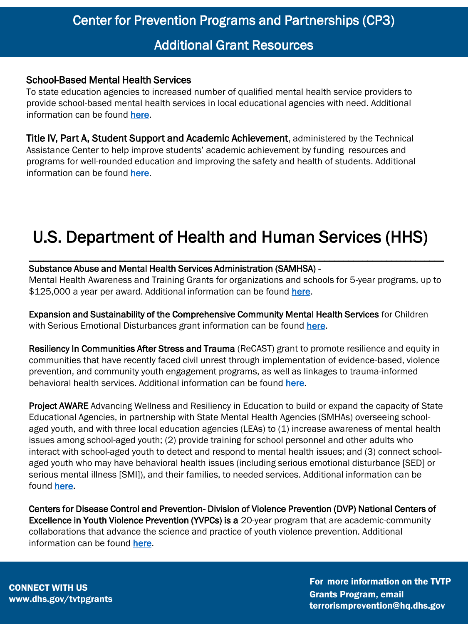#### School-Based Mental Health Services

To state education agencies to increased number of qualified mental health service providers to provide school-based mental health services in local educational agencies with need. Additional information can be found [here](https://safesupportivelearning.ed.gov/states-and-grantees/current-grantees/school-based-mental-health-services).

Title IV, Part A, Student Support and Academic Achievement, administered by the Technical Assistance Center to help improve students' academic achievement by funding resources and programs for well-rounded education and improving the safety and health of students. Additional information can be found [here](https://t4pacenter.ed.gov/).

# U.S. Department of Health and Human Services (HHS)

#### Substance Abuse and Mental Health Services Administration (SAMHSA) -

Mental Health Awareness and Training Grants for organizations and schools for 5-year programs, up to \$125,000 a year per award. Additional information can be found [here](https://www.samhsa.gov/grants/grant-announcements/SM-21-007).

\_\_\_\_\_\_\_\_\_\_\_\_\_\_\_\_\_\_\_\_\_\_\_\_\_\_\_\_\_\_\_\_\_\_\_\_\_\_\_\_\_\_\_\_\_\_\_\_\_\_\_\_\_\_\_\_\_\_\_\_\_\_\_\_\_\_\_\_\_\_\_\_\_\_\_\_\_\_\_\_\_\_\_\_\_\_\_

Expansion and Sustainability of the Comprehensive Community Mental Health Services for Children with Serious Emotional Disturbances grant information can be found [here](https://www.samhsa.gov/grants/grant-announcements/SM-21-004).

Resiliency In Communities After Stress and Trauma (ReCAST) grant to promote resilience and equity in communities that have recently faced civil unrest through implementation of evidence-based, violence prevention, and community youth engagement programs, as well as linkages to trauma-informed behavioral health services. Additional information can be found [here](https://www.samhsa.gov/grants/grant-announcements/SM-21-012).

Project AWARE Advancing Wellness and Resiliency in Education to build or expand the capacity of State Educational Agencies, in partnership with State Mental Health Agencies (SMHAs) overseeing schoolaged youth, and with three local education agencies (LEAs) to (1) increase awareness of mental health issues among school-aged youth; (2) provide training for school personnel and other adults who interact with school-aged youth to detect and respond to mental health issues; and (3) connect schoolaged youth who may have behavioral health issues (including serious emotional disturbance [SED] or serious mental illness [SMI]), and their families, to needed services. Additional information can be found [here.](https://www.samhsa.gov/grants/grant-announcements/sm-21-006)

Centers for Disease Control and Prevention- Division of Violence Prevention (DVP) National Centers of Excellence in Youth Violence Prevention (YVPCs) is a 20-year program that are academic-community collaborations that advance the science and practice of youth violence prevention. Additional information can be found [here.](https://www.cdc.gov/violenceprevention/youthviolence/yvpc/index.html)

CONNECT WITH US www.dhs.gov/tvtpgrants For more information on the TVTP Grants Program, email terrorismprevention@hq.dhs.gov